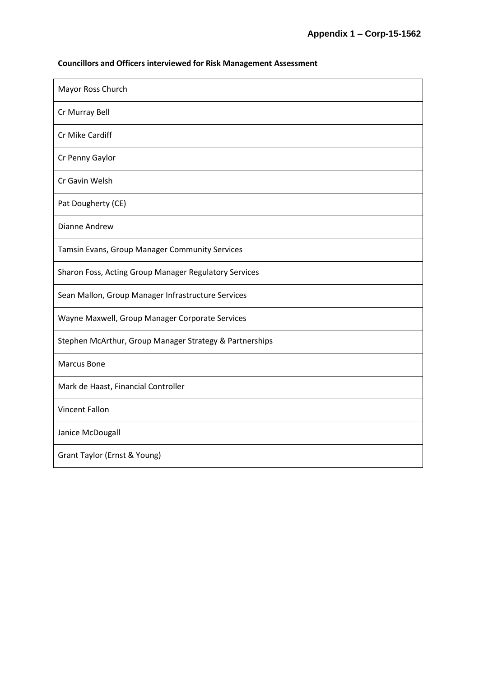## **Councillors and Officers interviewed for Risk Management Assessment**

| Mayor Ross Church                                       |
|---------------------------------------------------------|
| Cr Murray Bell                                          |
| Cr Mike Cardiff                                         |
| Cr Penny Gaylor                                         |
| Cr Gavin Welsh                                          |
| Pat Dougherty (CE)                                      |
| <b>Dianne Andrew</b>                                    |
| Tamsin Evans, Group Manager Community Services          |
| Sharon Foss, Acting Group Manager Regulatory Services   |
| Sean Mallon, Group Manager Infrastructure Services      |
| Wayne Maxwell, Group Manager Corporate Services         |
| Stephen McArthur, Group Manager Strategy & Partnerships |
| Marcus Bone                                             |
| Mark de Haast, Financial Controller                     |
| <b>Vincent Fallon</b>                                   |
| Janice McDougall                                        |
| Grant Taylor (Ernst & Young)                            |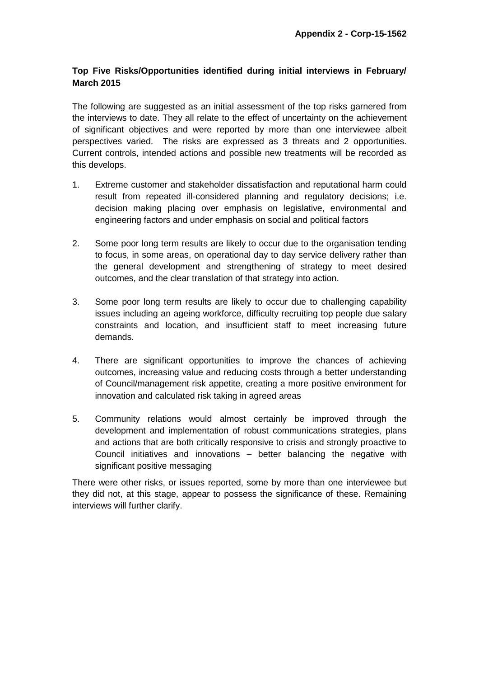## **Top Five Risks/Opportunities identified during initial interviews in February/ March 2015**

The following are suggested as an initial assessment of the top risks garnered from the interviews to date. They all relate to the effect of uncertainty on the achievement of significant objectives and were reported by more than one interviewee albeit perspectives varied. The risks are expressed as 3 threats and 2 opportunities. Current controls, intended actions and possible new treatments will be recorded as this develops.

- 1. Extreme customer and stakeholder dissatisfaction and reputational harm could result from repeated ill-considered planning and regulatory decisions; i.e. decision making placing over emphasis on legislative, environmental and engineering factors and under emphasis on social and political factors
- 2. Some poor long term results are likely to occur due to the organisation tending to focus, in some areas, on operational day to day service delivery rather than the general development and strengthening of strategy to meet desired outcomes, and the clear translation of that strategy into action.
- 3. Some poor long term results are likely to occur due to challenging capability issues including an ageing workforce, difficulty recruiting top people due salary constraints and location, and insufficient staff to meet increasing future demands.
- 4. There are significant opportunities to improve the chances of achieving outcomes, increasing value and reducing costs through a better understanding of Council/management risk appetite, creating a more positive environment for innovation and calculated risk taking in agreed areas
- 5. Community relations would almost certainly be improved through the development and implementation of robust communications strategies, plans and actions that are both critically responsive to crisis and strongly proactive to Council initiatives and innovations – better balancing the negative with significant positive messaging

There were other risks, or issues reported, some by more than one interviewee but they did not, at this stage, appear to possess the significance of these. Remaining interviews will further clarify.